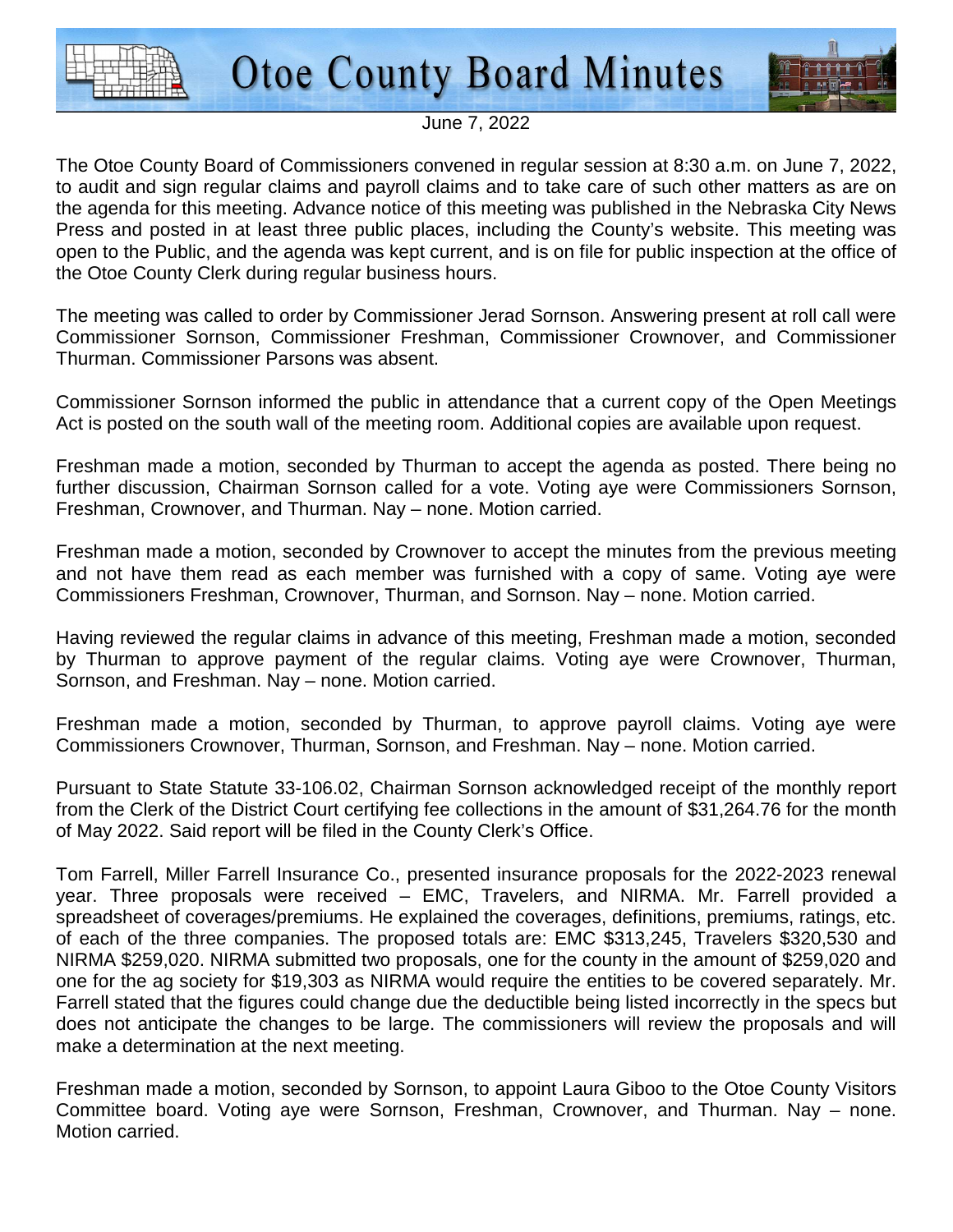

**Otoe County Board Minutes** 



## June 7, 2022

The Otoe County Board of Commissioners convened in regular session at 8:30 a.m. on June 7, 2022, to audit and sign regular claims and payroll claims and to take care of such other matters as are on the agenda for this meeting. Advance notice of this meeting was published in the Nebraska City News Press and posted in at least three public places, including the County's website. This meeting was open to the Public, and the agenda was kept current, and is on file for public inspection at the office of the Otoe County Clerk during regular business hours.

The meeting was called to order by Commissioner Jerad Sornson. Answering present at roll call were Commissioner Sornson, Commissioner Freshman, Commissioner Crownover, and Commissioner Thurman. Commissioner Parsons was absent.

Commissioner Sornson informed the public in attendance that a current copy of the Open Meetings Act is posted on the south wall of the meeting room. Additional copies are available upon request.

Freshman made a motion, seconded by Thurman to accept the agenda as posted. There being no further discussion, Chairman Sornson called for a vote. Voting aye were Commissioners Sornson, Freshman, Crownover, and Thurman. Nay – none. Motion carried.

Freshman made a motion, seconded by Crownover to accept the minutes from the previous meeting and not have them read as each member was furnished with a copy of same. Voting aye were Commissioners Freshman, Crownover, Thurman, and Sornson. Nay – none. Motion carried.

Having reviewed the regular claims in advance of this meeting, Freshman made a motion, seconded by Thurman to approve payment of the regular claims. Voting aye were Crownover, Thurman, Sornson, and Freshman. Nay – none. Motion carried.

Freshman made a motion, seconded by Thurman, to approve payroll claims. Voting aye were Commissioners Crownover, Thurman, Sornson, and Freshman. Nay – none. Motion carried.

Pursuant to State Statute 33-106.02, Chairman Sornson acknowledged receipt of the monthly report from the Clerk of the District Court certifying fee collections in the amount of \$31,264.76 for the month of May 2022. Said report will be filed in the County Clerk's Office.

Tom Farrell, Miller Farrell Insurance Co., presented insurance proposals for the 2022-2023 renewal year. Three proposals were received – EMC, Travelers, and NIRMA. Mr. Farrell provided a spreadsheet of coverages/premiums. He explained the coverages, definitions, premiums, ratings, etc. of each of the three companies. The proposed totals are: EMC \$313,245, Travelers \$320,530 and NIRMA \$259,020. NIRMA submitted two proposals, one for the county in the amount of \$259,020 and one for the ag society for \$19,303 as NIRMA would require the entities to be covered separately. Mr. Farrell stated that the figures could change due the deductible being listed incorrectly in the specs but does not anticipate the changes to be large. The commissioners will review the proposals and will make a determination at the next meeting.

Freshman made a motion, seconded by Sornson, to appoint Laura Giboo to the Otoe County Visitors Committee board. Voting aye were Sornson, Freshman, Crownover, and Thurman. Nay – none. Motion carried.